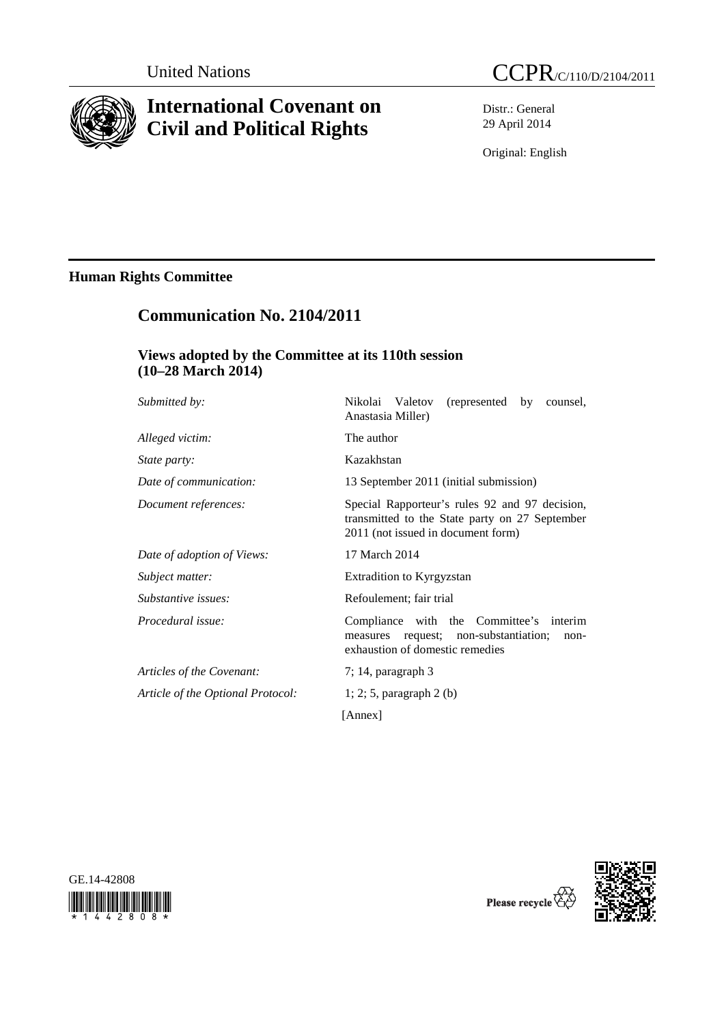

# **International Covenant on Civil and Political Rights**

Distr.: General 29 April 2014

Original: English

## **Human Rights Committee**

## **Communication No. 2104/2011**

## **Views adopted by the Committee at its 110th session (10–28 March 2014)**

| Submitted by:                     | Nikolai Valetov<br>(represented)<br>by<br>counsel,<br>Anastasia Miller)                                                                |
|-----------------------------------|----------------------------------------------------------------------------------------------------------------------------------------|
| Alleged victim:                   | The author                                                                                                                             |
| State party:                      | Kazakhstan                                                                                                                             |
| Date of communication:            | 13 September 2011 (initial submission)                                                                                                 |
| Document references:              | Special Rapporteur's rules 92 and 97 decision,<br>transmitted to the State party on 27 September<br>2011 (not issued in document form) |
| Date of adoption of Views:        | 17 March 2014                                                                                                                          |
| Subject matter:                   | <b>Extradition to Kyrgyzstan</b>                                                                                                       |
| Substantive issues:               | Refoulement; fair trial                                                                                                                |
| Procedural issue:                 | Compliance with the Committee's<br>interim<br>request; non-substantiation;<br>measures<br>non-<br>exhaustion of domestic remedies      |
| Articles of the Covenant:         | $7; 14$ , paragraph $3$                                                                                                                |
| Article of the Optional Protocol: | $1; 2; 5$ , paragraph 2 (b)                                                                                                            |
|                                   | [Annex]                                                                                                                                |





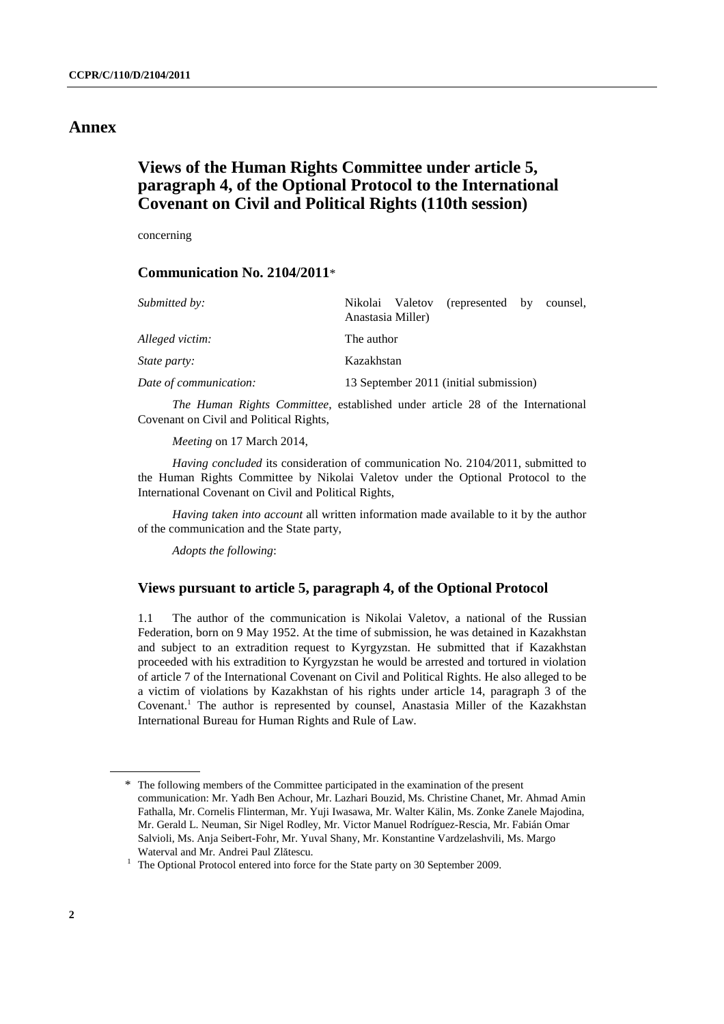## **Annex**

## **Views of the Human Rights Committee under article 5, paragraph 4, of the Optional Protocol to the International Covenant on Civil and Political Rights (110th session)**

concerning

## **Communication No. 2104/2011**\*

| Submitted by:          | (represented by counsel,<br>Nikolai Valetov<br>Anastasia Miller) |
|------------------------|------------------------------------------------------------------|
| Alleged victim:        | The author                                                       |
| <i>State party:</i>    | Kazakhstan                                                       |
| Date of communication: | 13 September 2011 (initial submission)                           |

 *The Human Rights Committee*, established under article 28 of the International Covenant on Civil and Political Rights,

*Meeting* on 17 March 2014,

*Having concluded* its consideration of communication No. 2104/2011, submitted to the Human Rights Committee by Nikolai Valetov under the Optional Protocol to the International Covenant on Civil and Political Rights,

*Having taken into account* all written information made available to it by the author of the communication and the State party,

*Adopts the following*:

#### **Views pursuant to article 5, paragraph 4, of the Optional Protocol**

1.1 The author of the communication is Nikolai Valetov, a national of the Russian Federation, born on 9 May 1952. At the time of submission, he was detained in Kazakhstan and subject to an extradition request to Kyrgyzstan. He submitted that if Kazakhstan proceeded with his extradition to Kyrgyzstan he would be arrested and tortured in violation of article 7 of the International Covenant on Civil and Political Rights. He also alleged to be a victim of violations by Kazakhstan of his rights under article 14, paragraph 3 of the Covenant.<sup>1</sup> The author is represented by counsel, Anastasia Miller of the Kazakhstan International Bureau for Human Rights and Rule of Law.

<sup>\*</sup> The following members of the Committee participated in the examination of the present communication: Mr. Yadh Ben Achour, Mr. Lazhari Bouzid, Ms. Christine Chanet, Mr. Ahmad Amin Fathalla, Mr. Cornelis Flinterman, Mr. Yuji Iwasawa, Mr. Walter Kälin, Ms. Zonke Zanele Majodina, Mr. Gerald L. Neuman, Sir Nigel Rodley, Mr. Victor Manuel Rodríguez-Rescia, Mr. Fabián Omar Salvioli, Ms. Anja Seibert-Fohr, Mr. Yuval Shany, Mr. Konstantine Vardzelashvili, Ms. Margo Waterval and Mr. Andrei Paul Zl<sup>ă</sup>tescu. 1

 $1$  The Optional Protocol entered into force for the State party on 30 September 2009.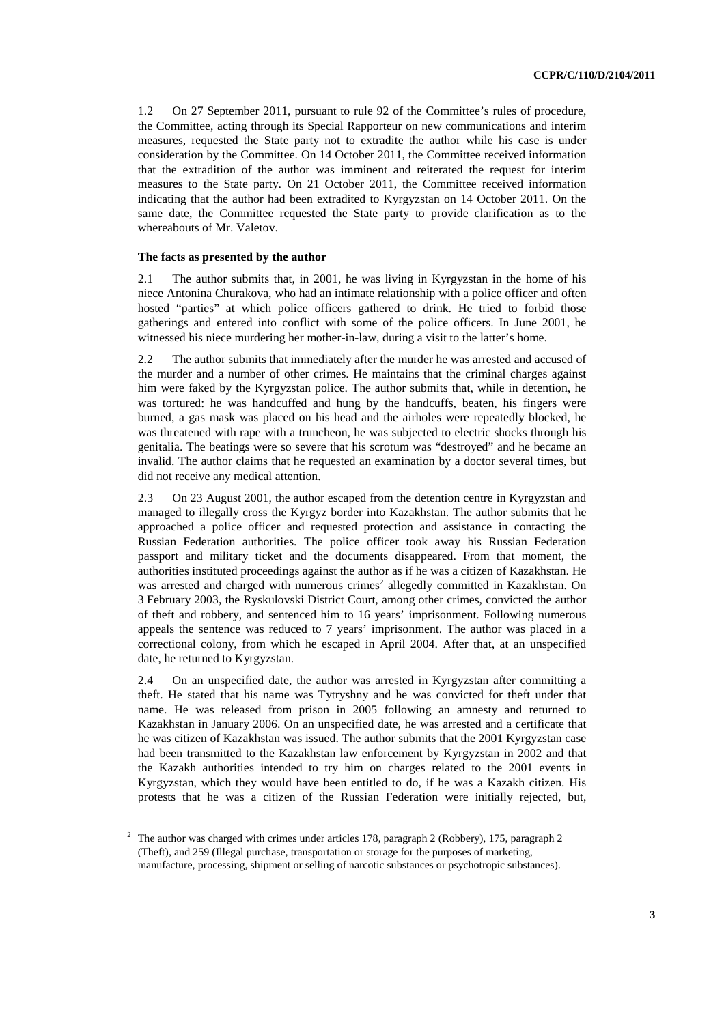1.2 On 27 September 2011, pursuant to rule 92 of the Committee's rules of procedure, the Committee, acting through its Special Rapporteur on new communications and interim measures, requested the State party not to extradite the author while his case is under consideration by the Committee. On 14 October 2011, the Committee received information that the extradition of the author was imminent and reiterated the request for interim measures to the State party. On 21 October 2011, the Committee received information indicating that the author had been extradited to Kyrgyzstan on 14 October 2011. On the same date, the Committee requested the State party to provide clarification as to the whereabouts of Mr. Valetov.

#### **The facts as presented by the author**

2.1 The author submits that, in 2001, he was living in Kyrgyzstan in the home of his niece Antonina Churakova, who had an intimate relationship with a police officer and often hosted "parties" at which police officers gathered to drink. He tried to forbid those gatherings and entered into conflict with some of the police officers. In June 2001, he witnessed his niece murdering her mother-in-law, during a visit to the latter's home.

2.2 The author submits that immediately after the murder he was arrested and accused of the murder and a number of other crimes. He maintains that the criminal charges against him were faked by the Kyrgyzstan police. The author submits that, while in detention, he was tortured: he was handcuffed and hung by the handcuffs, beaten, his fingers were burned, a gas mask was placed on his head and the airholes were repeatedly blocked, he was threatened with rape with a truncheon, he was subjected to electric shocks through his genitalia. The beatings were so severe that his scrotum was "destroyed" and he became an invalid. The author claims that he requested an examination by a doctor several times, but did not receive any medical attention.

2.3 On 23 August 2001, the author escaped from the detention centre in Kyrgyzstan and managed to illegally cross the Kyrgyz border into Kazakhstan. The author submits that he approached a police officer and requested protection and assistance in contacting the Russian Federation authorities. The police officer took away his Russian Federation passport and military ticket and the documents disappeared. From that moment, the authorities instituted proceedings against the author as if he was a citizen of Kazakhstan. He was arrested and charged with numerous crimes<sup>2</sup> allegedly committed in Kazakhstan. On 3 February 2003, the Ryskulovski District Court, among other crimes, convicted the author of theft and robbery, and sentenced him to 16 years' imprisonment. Following numerous appeals the sentence was reduced to 7 years' imprisonment. The author was placed in a correctional colony, from which he escaped in April 2004. After that, at an unspecified date, he returned to Kyrgyzstan.

2.4 On an unspecified date, the author was arrested in Kyrgyzstan after committing a theft. He stated that his name was Tytryshny and he was convicted for theft under that name. He was released from prison in 2005 following an amnesty and returned to Kazakhstan in January 2006. On an unspecified date, he was arrested and a certificate that he was citizen of Kazakhstan was issued. The author submits that the 2001 Kyrgyzstan case had been transmitted to the Kazakhstan law enforcement by Kyrgyzstan in 2002 and that the Kazakh authorities intended to try him on charges related to the 2001 events in Kyrgyzstan, which they would have been entitled to do, if he was a Kazakh citizen. His protests that he was a citizen of the Russian Federation were initially rejected, but,

<sup>&</sup>lt;sup>2</sup> The author was charged with crimes under articles 178, paragraph 2 (Robbery), 175, paragraph 2 (Theft), and 259 (Illegal purchase, transportation or storage for the purposes of marketing, manufacture, processing, shipment or selling of narcotic substances or psychotropic substances).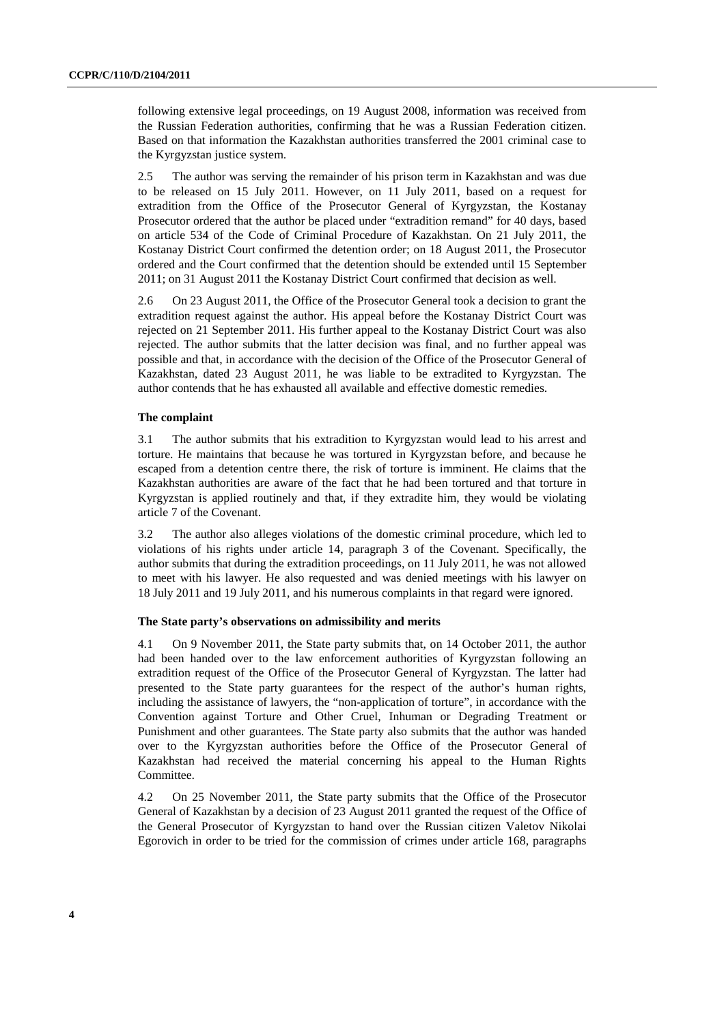following extensive legal proceedings, on 19 August 2008, information was received from the Russian Federation authorities, confirming that he was a Russian Federation citizen. Based on that information the Kazakhstan authorities transferred the 2001 criminal case to the Kyrgyzstan justice system.

2.5 The author was serving the remainder of his prison term in Kazakhstan and was due to be released on 15 July 2011. However, on 11 July 2011, based on a request for extradition from the Office of the Prosecutor General of Kyrgyzstan, the Kostanay Prosecutor ordered that the author be placed under "extradition remand" for 40 days, based on article 534 of the Code of Criminal Procedure of Kazakhstan. On 21 July 2011, the Kostanay District Court confirmed the detention order; on 18 August 2011, the Prosecutor ordered and the Court confirmed that the detention should be extended until 15 September 2011; on 31 August 2011 the Kostanay District Court confirmed that decision as well.

2.6 On 23 August 2011, the Office of the Prosecutor General took a decision to grant the extradition request against the author. His appeal before the Kostanay District Court was rejected on 21 September 2011. His further appeal to the Kostanay District Court was also rejected. The author submits that the latter decision was final, and no further appeal was possible and that, in accordance with the decision of the Office of the Prosecutor General of Kazakhstan, dated 23 August 2011, he was liable to be extradited to Kyrgyzstan. The author contends that he has exhausted all available and effective domestic remedies.

#### **The complaint**

3.1 The author submits that his extradition to Kyrgyzstan would lead to his arrest and torture. He maintains that because he was tortured in Kyrgyzstan before, and because he escaped from a detention centre there, the risk of torture is imminent. He claims that the Kazakhstan authorities are aware of the fact that he had been tortured and that torture in Kyrgyzstan is applied routinely and that, if they extradite him, they would be violating article 7 of the Covenant.

3.2 The author also alleges violations of the domestic criminal procedure, which led to violations of his rights under article 14, paragraph 3 of the Covenant. Specifically, the author submits that during the extradition proceedings, on 11 July 2011, he was not allowed to meet with his lawyer. He also requested and was denied meetings with his lawyer on 18 July 2011 and 19 July 2011, and his numerous complaints in that regard were ignored.

#### **The State party's observations on admissibility and merits**

4.1 On 9 November 2011, the State party submits that, on 14 October 2011, the author had been handed over to the law enforcement authorities of Kyrgyzstan following an extradition request of the Office of the Prosecutor General of Kyrgyzstan. The latter had presented to the State party guarantees for the respect of the author's human rights, including the assistance of lawyers, the "non-application of torture", in accordance with the Convention against Torture and Other Cruel, Inhuman or Degrading Treatment or Punishment and other guarantees. The State party also submits that the author was handed over to the Kyrgyzstan authorities before the Office of the Prosecutor General of Kazakhstan had received the material concerning his appeal to the Human Rights Committee.

4.2 On 25 November 2011, the State party submits that the Office of the Prosecutor General of Kazakhstan by a decision of 23 August 2011 granted the request of the Office of the General Prosecutor of Kyrgyzstan to hand over the Russian citizen Valetov Nikolai Egorovich in order to be tried for the commission of crimes under article 168, paragraphs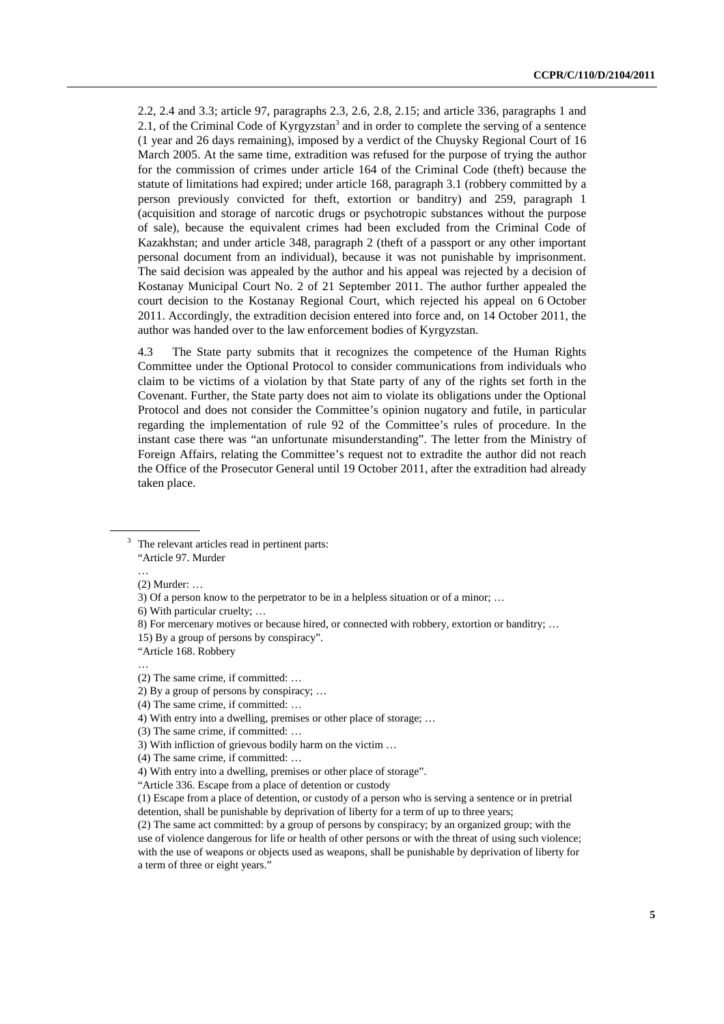2.2, 2.4 and 3.3; article 97, paragraphs 2.3, 2.6, 2.8, 2.15; and article 336, paragraphs 1 and 2.1, of the Criminal Code of Kyrgyzstan<sup>3</sup> and in order to complete the serving of a sentence (1 year and 26 days remaining), imposed by a verdict of the Chuysky Regional Court of 16 March 2005. At the same time, extradition was refused for the purpose of trying the author for the commission of crimes under article 164 of the Criminal Code (theft) because the statute of limitations had expired; under article 168, paragraph 3.1 (robbery committed by a person previously convicted for theft, extortion or banditry) and 259, paragraph 1 (acquisition and storage of narcotic drugs or psychotropic substances without the purpose of sale), because the equivalent crimes had been excluded from the Criminal Code of Kazakhstan; and under article 348, paragraph 2 (theft of a passport or any other important personal document from an individual), because it was not punishable by imprisonment. The said decision was appealed by the author and his appeal was rejected by a decision of Kostanay Municipal Court No. 2 of 21 September 2011. The author further appealed the court decision to the Kostanay Regional Court, which rejected his appeal on 6 October 2011. Accordingly, the extradition decision entered into force and, on 14 October 2011, the author was handed over to the law enforcement bodies of Kyrgyzstan.

4.3 The State party submits that it recognizes the competence of the Human Rights Committee under the Optional Protocol to consider communications from individuals who claim to be victims of a violation by that State party of any of the rights set forth in the Covenant. Further, the State party does not aim to violate its obligations under the Optional Protocol and does not consider the Committee's opinion nugatory and futile, in particular regarding the implementation of rule 92 of the Committee's rules of procedure. In the instant case there was "an unfortunate misunderstanding". The letter from the Ministry of Foreign Affairs, relating the Committee's request not to extradite the author did not reach the Office of the Prosecutor General until 19 October 2011, after the extradition had already taken place.

…

<sup>3</sup> The relevant articles read in pertinent parts: "Article 97. Murder

 <sup>(2)</sup> Murder: …

 <sup>3)</sup> Of a person know to the perpetrator to be in a helpless situation or of a minor; …

 <sup>6)</sup> With particular cruelty; …

 <sup>8)</sup> For mercenary motives or because hired, or connected with robbery, extortion or banditry; …

 <sup>15)</sup> By a group of persons by conspiracy".

 <sup>&</sup>quot;Article 168. Robbery

 <sup>…</sup>  (2) The same crime, if committed: …

 <sup>2)</sup> By a group of persons by conspiracy; …

 <sup>(4)</sup> The same crime, if committed: …

 <sup>4)</sup> With entry into a dwelling, premises or other place of storage; …

 <sup>(3)</sup> The same crime, if committed: …

 <sup>3)</sup> With infliction of grievous bodily harm on the victim …

 <sup>(4)</sup> The same crime, if committed: …

 <sup>4)</sup> With entry into a dwelling, premises or other place of storage".

 <sup>&</sup>quot;Article 336. Escape from a place of detention or custody

 <sup>(1)</sup> Escape from a place of detention, or custody of a person who is serving a sentence or in pretrial detention, shall be punishable by deprivation of liberty for a term of up to three years;

 <sup>(2)</sup> The same act committed: by a group of persons by conspiracy; by an organized group; with the use of violence dangerous for life or health of other persons or with the threat of using such violence; with the use of weapons or objects used as weapons, shall be punishable by deprivation of liberty for a term of three or eight years."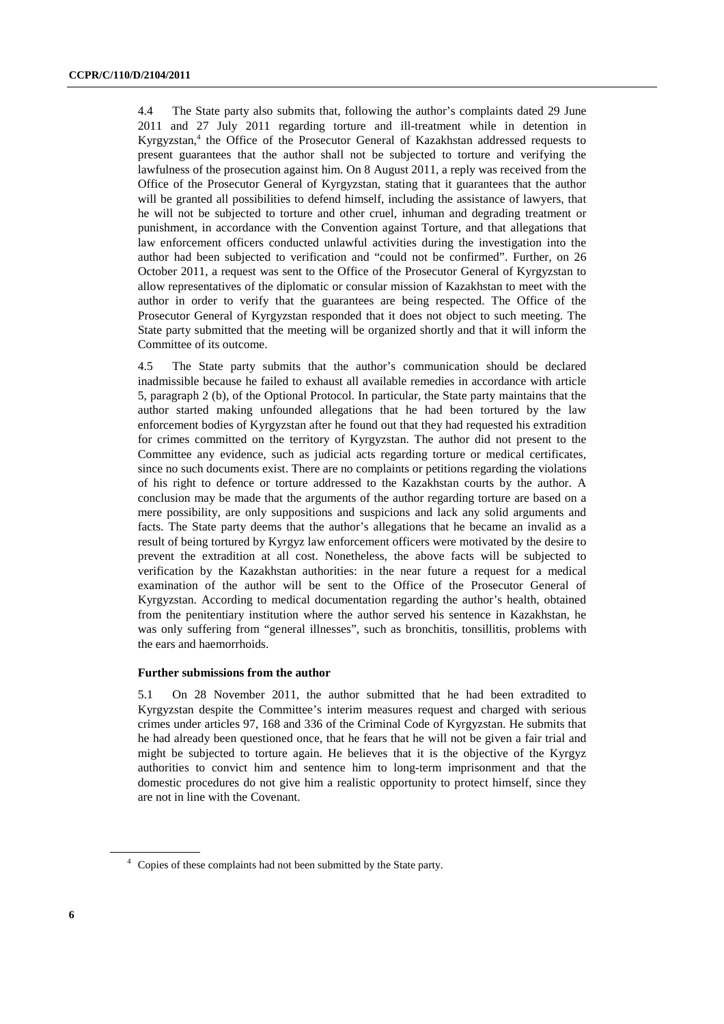4.4 The State party also submits that, following the author's complaints dated 29 June 2011 and 27 July 2011 regarding torture and ill-treatment while in detention in Kyrgyzstan,<sup>4</sup> the Office of the Prosecutor General of Kazakhstan addressed requests to present guarantees that the author shall not be subjected to torture and verifying the lawfulness of the prosecution against him. On 8 August 2011, a reply was received from the Office of the Prosecutor General of Kyrgyzstan, stating that it guarantees that the author will be granted all possibilities to defend himself, including the assistance of lawyers, that he will not be subjected to torture and other cruel, inhuman and degrading treatment or punishment, in accordance with the Convention against Torture, and that allegations that law enforcement officers conducted unlawful activities during the investigation into the author had been subjected to verification and "could not be confirmed". Further, on 26 October 2011, a request was sent to the Office of the Prosecutor General of Kyrgyzstan to allow representatives of the diplomatic or consular mission of Kazakhstan to meet with the author in order to verify that the guarantees are being respected. The Office of the Prosecutor General of Kyrgyzstan responded that it does not object to such meeting. The State party submitted that the meeting will be organized shortly and that it will inform the Committee of its outcome.

4.5 The State party submits that the author's communication should be declared inadmissible because he failed to exhaust all available remedies in accordance with article 5, paragraph 2 (b), of the Optional Protocol. In particular, the State party maintains that the author started making unfounded allegations that he had been tortured by the law enforcement bodies of Kyrgyzstan after he found out that they had requested his extradition for crimes committed on the territory of Kyrgyzstan. The author did not present to the Committee any evidence, such as judicial acts regarding torture or medical certificates, since no such documents exist. There are no complaints or petitions regarding the violations of his right to defence or torture addressed to the Kazakhstan courts by the author. A conclusion may be made that the arguments of the author regarding torture are based on a mere possibility, are only suppositions and suspicions and lack any solid arguments and facts. The State party deems that the author's allegations that he became an invalid as a result of being tortured by Kyrgyz law enforcement officers were motivated by the desire to prevent the extradition at all cost. Nonetheless, the above facts will be subjected to verification by the Kazakhstan authorities: in the near future a request for a medical examination of the author will be sent to the Office of the Prosecutor General of Kyrgyzstan. According to medical documentation regarding the author's health, obtained from the penitentiary institution where the author served his sentence in Kazakhstan, he was only suffering from "general illnesses", such as bronchitis, tonsillitis, problems with the ears and haemorrhoids.

#### **Further submissions from the author**

5.1 On 28 November 2011, the author submitted that he had been extradited to Kyrgyzstan despite the Committee's interim measures request and charged with serious crimes under articles 97, 168 and 336 of the Criminal Code of Kyrgyzstan. He submits that he had already been questioned once, that he fears that he will not be given a fair trial and might be subjected to torture again. He believes that it is the objective of the Kyrgyz authorities to convict him and sentence him to long-term imprisonment and that the domestic procedures do not give him a realistic opportunity to protect himself, since they are not in line with the Covenant.

<sup>&</sup>lt;sup>4</sup> Copies of these complaints had not been submitted by the State party.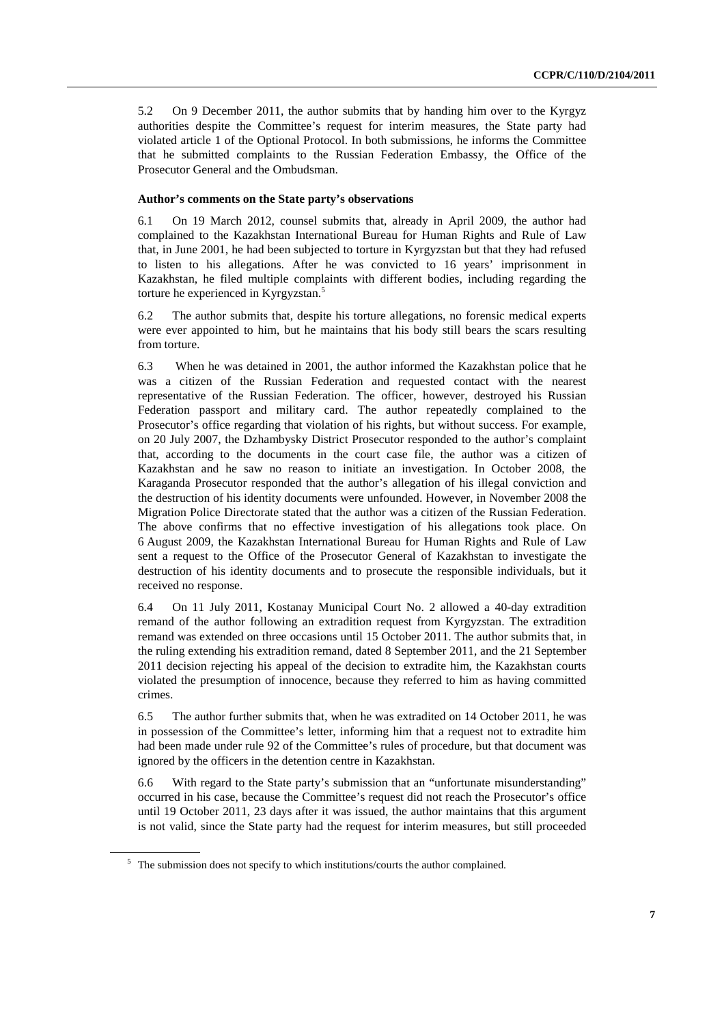5.2 On 9 December 2011, the author submits that by handing him over to the Kyrgyz authorities despite the Committee's request for interim measures, the State party had violated article 1 of the Optional Protocol. In both submissions, he informs the Committee that he submitted complaints to the Russian Federation Embassy, the Office of the Prosecutor General and the Ombudsman.

#### **Author's comments on the State party's observations**

6.1 On 19 March 2012, counsel submits that, already in April 2009, the author had complained to the Kazakhstan International Bureau for Human Rights and Rule of Law that, in June 2001, he had been subjected to torture in Kyrgyzstan but that they had refused to listen to his allegations. After he was convicted to 16 years' imprisonment in Kazakhstan, he filed multiple complaints with different bodies, including regarding the torture he experienced in Kyrgyzstan.<sup>5</sup>

6.2 The author submits that, despite his torture allegations, no forensic medical experts were ever appointed to him, but he maintains that his body still bears the scars resulting from torture.

6.3 When he was detained in 2001, the author informed the Kazakhstan police that he was a citizen of the Russian Federation and requested contact with the nearest representative of the Russian Federation. The officer, however, destroyed his Russian Federation passport and military card. The author repeatedly complained to the Prosecutor's office regarding that violation of his rights, but without success. For example, on 20 July 2007, the Dzhambysky District Prosecutor responded to the author's complaint that, according to the documents in the court case file, the author was a citizen of Kazakhstan and he saw no reason to initiate an investigation. In October 2008, the Karaganda Prosecutor responded that the author's allegation of his illegal conviction and the destruction of his identity documents were unfounded. However, in November 2008 the Migration Police Directorate stated that the author was a citizen of the Russian Federation. The above confirms that no effective investigation of his allegations took place. On 6 August 2009, the Kazakhstan International Bureau for Human Rights and Rule of Law sent a request to the Office of the Prosecutor General of Kazakhstan to investigate the destruction of his identity documents and to prosecute the responsible individuals, but it received no response.

6.4 On 11 July 2011, Kostanay Municipal Court No. 2 allowed a 40-day extradition remand of the author following an extradition request from Kyrgyzstan. The extradition remand was extended on three occasions until 15 October 2011. The author submits that, in the ruling extending his extradition remand, dated 8 September 2011, and the 21 September 2011 decision rejecting his appeal of the decision to extradite him, the Kazakhstan courts violated the presumption of innocence, because they referred to him as having committed crimes.

6.5 The author further submits that, when he was extradited on 14 October 2011, he was in possession of the Committee's letter, informing him that a request not to extradite him had been made under rule 92 of the Committee's rules of procedure, but that document was ignored by the officers in the detention centre in Kazakhstan.

6.6 With regard to the State party's submission that an "unfortunate misunderstanding" occurred in his case, because the Committee's request did not reach the Prosecutor's office until 19 October 2011, 23 days after it was issued, the author maintains that this argument is not valid, since the State party had the request for interim measures, but still proceeded

<sup>&</sup>lt;sup>5</sup> The submission does not specify to which institutions/courts the author complained.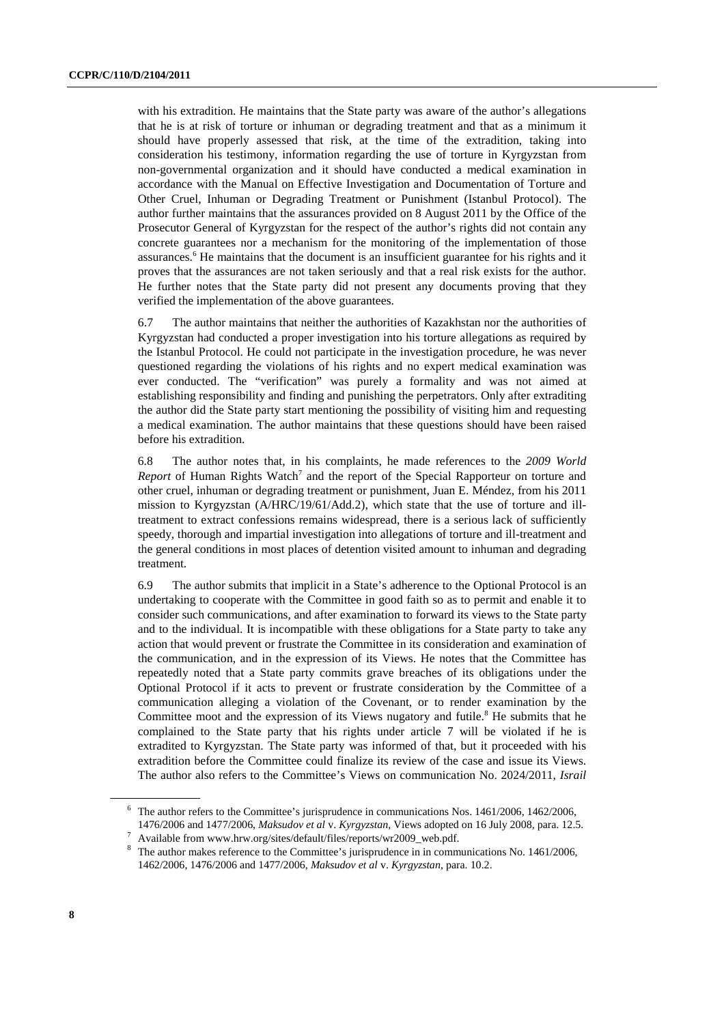with his extradition. He maintains that the State party was aware of the author's allegations that he is at risk of torture or inhuman or degrading treatment and that as a minimum it should have properly assessed that risk, at the time of the extradition, taking into consideration his testimony, information regarding the use of torture in Kyrgyzstan from non-governmental organization and it should have conducted a medical examination in accordance with the Manual on Effective Investigation and Documentation of Torture and Other Cruel, Inhuman or Degrading Treatment or Punishment (Istanbul Protocol). The author further maintains that the assurances provided on 8 August 2011 by the Office of the Prosecutor General of Kyrgyzstan for the respect of the author's rights did not contain any concrete guarantees nor a mechanism for the monitoring of the implementation of those assurances.<sup>6</sup> He maintains that the document is an insufficient guarantee for his rights and it proves that the assurances are not taken seriously and that a real risk exists for the author. He further notes that the State party did not present any documents proving that they verified the implementation of the above guarantees.

6.7 The author maintains that neither the authorities of Kazakhstan nor the authorities of Kyrgyzstan had conducted a proper investigation into his torture allegations as required by the Istanbul Protocol. He could not participate in the investigation procedure, he was never questioned regarding the violations of his rights and no expert medical examination was ever conducted. The "verification" was purely a formality and was not aimed at establishing responsibility and finding and punishing the perpetrators. Only after extraditing the author did the State party start mentioning the possibility of visiting him and requesting a medical examination. The author maintains that these questions should have been raised before his extradition.

6.8 The author notes that, in his complaints, he made references to the *2009 World*  Report of Human Rights Watch<sup>7</sup> and the report of the Special Rapporteur on torture and other cruel, inhuman or degrading treatment or punishment, Juan E. Méndez, from his 2011 mission to Kyrgyzstan (A/HRC/19/61/Add.2), which state that the use of torture and illtreatment to extract confessions remains widespread, there is a serious lack of sufficiently speedy, thorough and impartial investigation into allegations of torture and ill-treatment and the general conditions in most places of detention visited amount to inhuman and degrading treatment.

6.9 The author submits that implicit in a State's adherence to the Optional Protocol is an undertaking to cooperate with the Committee in good faith so as to permit and enable it to consider such communications, and after examination to forward its views to the State party and to the individual. It is incompatible with these obligations for a State party to take any action that would prevent or frustrate the Committee in its consideration and examination of the communication, and in the expression of its Views. He notes that the Committee has repeatedly noted that a State party commits grave breaches of its obligations under the Optional Protocol if it acts to prevent or frustrate consideration by the Committee of a communication alleging a violation of the Covenant, or to render examination by the Committee moot and the expression of its Views nugatory and futile.<sup>8</sup> He submits that he complained to the State party that his rights under article 7 will be violated if he is extradited to Kyrgyzstan. The State party was informed of that, but it proceeded with his extradition before the Committee could finalize its review of the case and issue its Views. The author also refers to the Committee's Views on communication No. 2024/2011, *Israil* 

<sup>&</sup>lt;sup>6</sup> The author refers to the Committee's jurisprudence in communications Nos. 1461/2006, 1462/2006,

<sup>1476/2006</sup> and 1477/2006, *Maksudov et al* v. *Kyrgyzstan*, Views adopted on 16 July 2008, para. 12.5. 7  $^7\,$  Available from www.hrw.org/sites/default/files/reports/wr2009\_web.pdf.

 $8$  The author makes reference to the Committee's jurisprudence in in communications No. 1461/2006, 1462/2006, 1476/2006 and 1477/2006, *Maksudov et al* v. *Kyrgyzstan*, para. 10.2.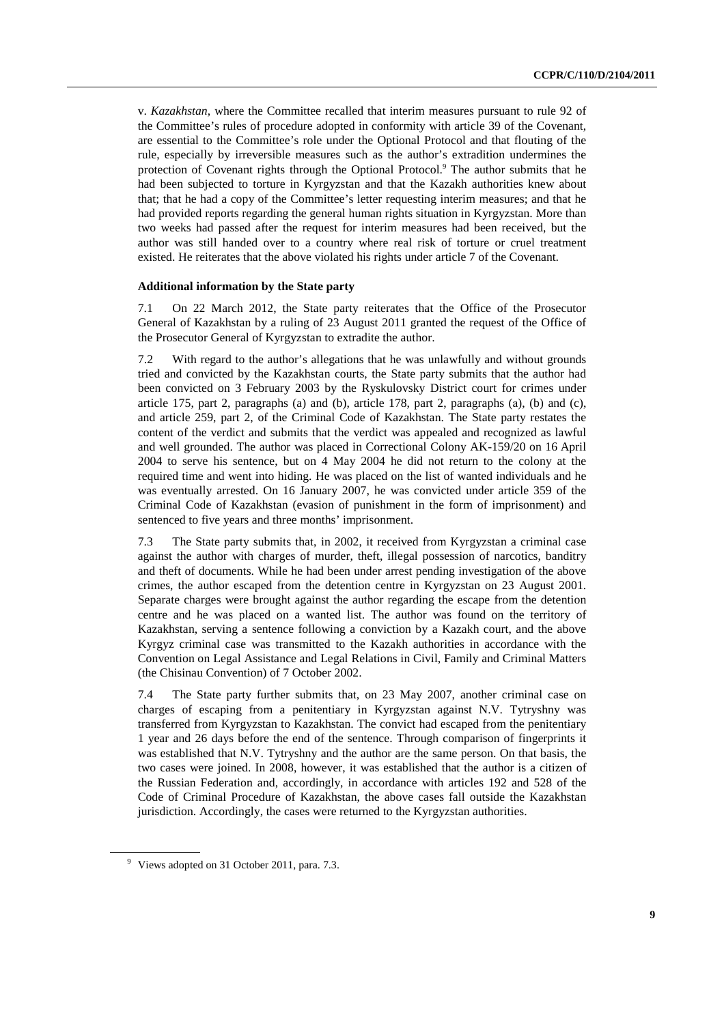v. *Kazakhstan*, where the Committee recalled that interim measures pursuant to rule 92 of the Committee's rules of procedure adopted in conformity with article 39 of the Covenant, are essential to the Committee's role under the Optional Protocol and that flouting of the rule, especially by irreversible measures such as the author's extradition undermines the protection of Covenant rights through the Optional Protocol.<sup>9</sup> The author submits that he had been subjected to torture in Kyrgyzstan and that the Kazakh authorities knew about that; that he had a copy of the Committee's letter requesting interim measures; and that he had provided reports regarding the general human rights situation in Kyrgyzstan. More than two weeks had passed after the request for interim measures had been received, but the author was still handed over to a country where real risk of torture or cruel treatment existed. He reiterates that the above violated his rights under article 7 of the Covenant.

#### **Additional information by the State party**

7.1 On 22 March 2012, the State party reiterates that the Office of the Prosecutor General of Kazakhstan by a ruling of 23 August 2011 granted the request of the Office of the Prosecutor General of Kyrgyzstan to extradite the author.

7.2 With regard to the author's allegations that he was unlawfully and without grounds tried and convicted by the Kazakhstan courts, the State party submits that the author had been convicted on 3 February 2003 by the Ryskulovsky District court for crimes under article  $175$ , part 2, paragraphs (a) and (b), article  $178$ , part 2, paragraphs (a), (b) and (c), and article 259, part 2, of the Criminal Code of Kazakhstan. The State party restates the content of the verdict and submits that the verdict was appealed and recognized as lawful and well grounded. The author was placed in Correctional Colony AK-159/20 on 16 April 2004 to serve his sentence, but on 4 May 2004 he did not return to the colony at the required time and went into hiding. He was placed on the list of wanted individuals and he was eventually arrested. On 16 January 2007, he was convicted under article 359 of the Criminal Code of Kazakhstan (evasion of punishment in the form of imprisonment) and sentenced to five years and three months' imprisonment.

7.3 The State party submits that, in 2002, it received from Kyrgyzstan a criminal case against the author with charges of murder, theft, illegal possession of narcotics, banditry and theft of documents. While he had been under arrest pending investigation of the above crimes, the author escaped from the detention centre in Kyrgyzstan on 23 August 2001. Separate charges were brought against the author regarding the escape from the detention centre and he was placed on a wanted list. The author was found on the territory of Kazakhstan, serving a sentence following a conviction by a Kazakh court, and the above Kyrgyz criminal case was transmitted to the Kazakh authorities in accordance with the Convention on Legal Assistance and Legal Relations in Civil, Family and Criminal Matters (the Chisinau Convention) of 7 October 2002.

7.4 The State party further submits that, on 23 May 2007, another criminal case on charges of escaping from a penitentiary in Kyrgyzstan against N.V. Tytryshny was transferred from Kyrgyzstan to Kazakhstan. The convict had escaped from the penitentiary 1 year and 26 days before the end of the sentence. Through comparison of fingerprints it was established that N.V. Tytryshny and the author are the same person. On that basis, the two cases were joined. In 2008, however, it was established that the author is a citizen of the Russian Federation and, accordingly, in accordance with articles 192 and 528 of the Code of Criminal Procedure of Kazakhstan, the above cases fall outside the Kazakhstan jurisdiction. Accordingly, the cases were returned to the Kyrgyzstan authorities.

<sup>&</sup>lt;sup>9</sup> Views adopted on 31 October 2011, para. 7.3.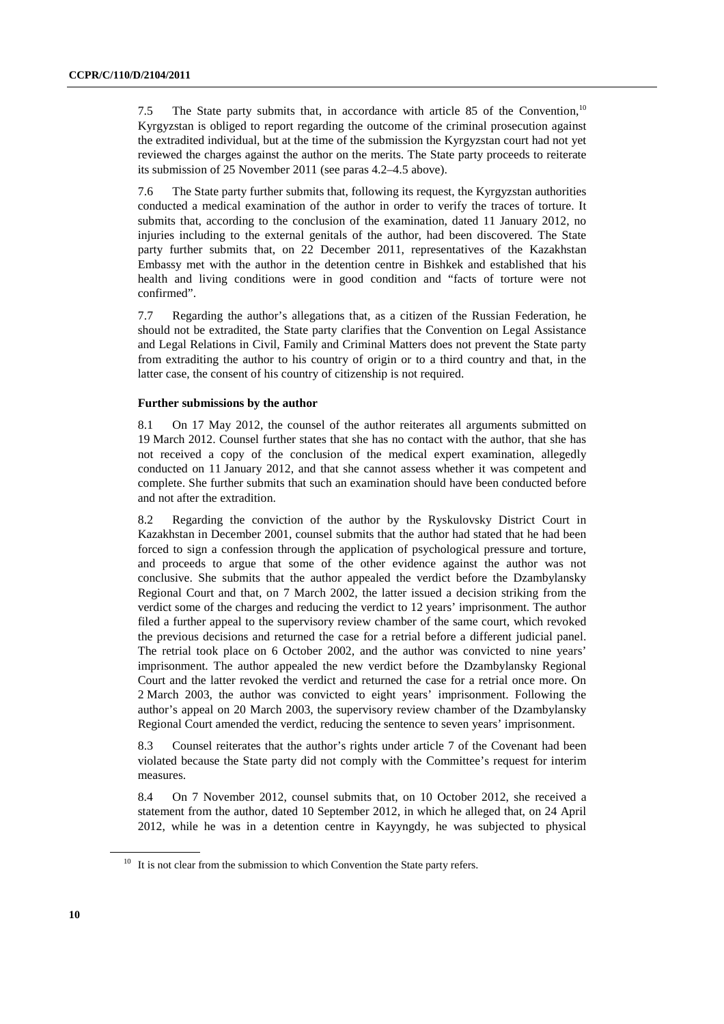7.5 The State party submits that, in accordance with article 85 of the Convention,10 Kyrgyzstan is obliged to report regarding the outcome of the criminal prosecution against the extradited individual, but at the time of the submission the Kyrgyzstan court had not yet reviewed the charges against the author on the merits. The State party proceeds to reiterate its submission of 25 November 2011 (see paras 4.2–4.5 above).

7.6 The State party further submits that, following its request, the Kyrgyzstan authorities conducted a medical examination of the author in order to verify the traces of torture. It submits that, according to the conclusion of the examination, dated 11 January 2012, no injuries including to the external genitals of the author, had been discovered. The State party further submits that, on 22 December 2011, representatives of the Kazakhstan Embassy met with the author in the detention centre in Bishkek and established that his health and living conditions were in good condition and "facts of torture were not confirmed".

7.7 Regarding the author's allegations that, as a citizen of the Russian Federation, he should not be extradited, the State party clarifies that the Convention on Legal Assistance and Legal Relations in Civil, Family and Criminal Matters does not prevent the State party from extraditing the author to his country of origin or to a third country and that, in the latter case, the consent of his country of citizenship is not required.

#### **Further submissions by the author**

8.1 On 17 May 2012, the counsel of the author reiterates all arguments submitted on 19 March 2012. Counsel further states that she has no contact with the author, that she has not received a copy of the conclusion of the medical expert examination, allegedly conducted on 11 January 2012, and that she cannot assess whether it was competent and complete. She further submits that such an examination should have been conducted before and not after the extradition.

8.2 Regarding the conviction of the author by the Ryskulovsky District Court in Kazakhstan in December 2001, counsel submits that the author had stated that he had been forced to sign a confession through the application of psychological pressure and torture, and proceeds to argue that some of the other evidence against the author was not conclusive. She submits that the author appealed the verdict before the Dzambylansky Regional Court and that, on 7 March 2002, the latter issued a decision striking from the verdict some of the charges and reducing the verdict to 12 years' imprisonment. The author filed a further appeal to the supervisory review chamber of the same court, which revoked the previous decisions and returned the case for a retrial before a different judicial panel. The retrial took place on 6 October 2002, and the author was convicted to nine years' imprisonment. The author appealed the new verdict before the Dzambylansky Regional Court and the latter revoked the verdict and returned the case for a retrial once more. On 2 March 2003, the author was convicted to eight years' imprisonment. Following the author's appeal on 20 March 2003, the supervisory review chamber of the Dzambylansky Regional Court amended the verdict, reducing the sentence to seven years' imprisonment.

8.3 Counsel reiterates that the author's rights under article 7 of the Covenant had been violated because the State party did not comply with the Committee's request for interim measures.

8.4 On 7 November 2012, counsel submits that, on 10 October 2012, she received a statement from the author, dated 10 September 2012, in which he alleged that, on 24 April 2012, while he was in a detention centre in Kayyngdy, he was subjected to physical

 $10$  It is not clear from the submission to which Convention the State party refers.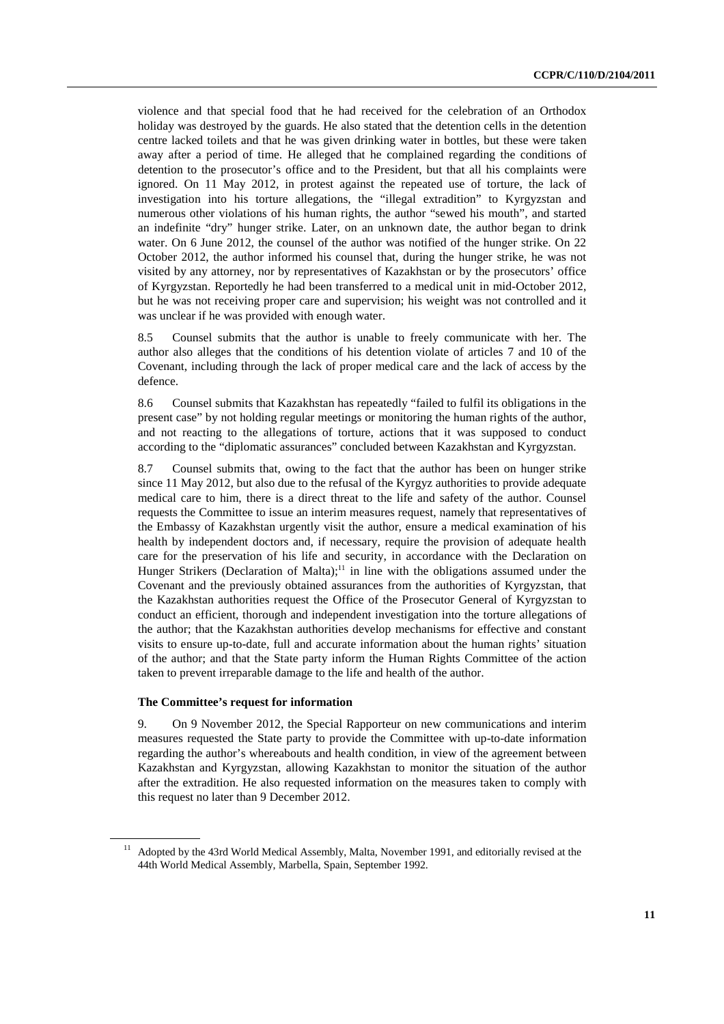violence and that special food that he had received for the celebration of an Orthodox holiday was destroyed by the guards. He also stated that the detention cells in the detention centre lacked toilets and that he was given drinking water in bottles, but these were taken away after a period of time. He alleged that he complained regarding the conditions of detention to the prosecutor's office and to the President, but that all his complaints were ignored. On 11 May 2012, in protest against the repeated use of torture, the lack of investigation into his torture allegations, the "illegal extradition" to Kyrgyzstan and numerous other violations of his human rights, the author "sewed his mouth", and started an indefinite "dry" hunger strike. Later, on an unknown date, the author began to drink water. On 6 June 2012, the counsel of the author was notified of the hunger strike. On 22 October 2012, the author informed his counsel that, during the hunger strike, he was not visited by any attorney, nor by representatives of Kazakhstan or by the prosecutors' office of Kyrgyzstan. Reportedly he had been transferred to a medical unit in mid-October 2012, but he was not receiving proper care and supervision; his weight was not controlled and it was unclear if he was provided with enough water.

8.5 Counsel submits that the author is unable to freely communicate with her. The author also alleges that the conditions of his detention violate of articles 7 and 10 of the Covenant, including through the lack of proper medical care and the lack of access by the defence.

8.6 Counsel submits that Kazakhstan has repeatedly "failed to fulfil its obligations in the present case" by not holding regular meetings or monitoring the human rights of the author, and not reacting to the allegations of torture, actions that it was supposed to conduct according to the "diplomatic assurances" concluded between Kazakhstan and Kyrgyzstan.

8.7 Counsel submits that, owing to the fact that the author has been on hunger strike since 11 May 2012, but also due to the refusal of the Kyrgyz authorities to provide adequate medical care to him, there is a direct threat to the life and safety of the author. Counsel requests the Committee to issue an interim measures request, namely that representatives of the Embassy of Kazakhstan urgently visit the author, ensure a medical examination of his health by independent doctors and, if necessary, require the provision of adequate health care for the preservation of his life and security, in accordance with the Declaration on Hunger Strikers (Declaration of Malta);<sup>11</sup> in line with the obligations assumed under the Covenant and the previously obtained assurances from the authorities of Kyrgyzstan, that the Kazakhstan authorities request the Office of the Prosecutor General of Kyrgyzstan to conduct an efficient, thorough and independent investigation into the torture allegations of the author; that the Kazakhstan authorities develop mechanisms for effective and constant visits to ensure up-to-date, full and accurate information about the human rights' situation of the author; and that the State party inform the Human Rights Committee of the action taken to prevent irreparable damage to the life and health of the author.

#### **The Committee's request for information**

9. On 9 November 2012, the Special Rapporteur on new communications and interim measures requested the State party to provide the Committee with up-to-date information regarding the author's whereabouts and health condition, in view of the agreement between Kazakhstan and Kyrgyzstan, allowing Kazakhstan to monitor the situation of the author after the extradition. He also requested information on the measures taken to comply with this request no later than 9 December 2012.

<sup>&</sup>lt;sup>11</sup> Adopted by the 43rd World Medical Assembly, Malta, November 1991, and editorially revised at the 44th World Medical Assembly, Marbella, Spain, September 1992.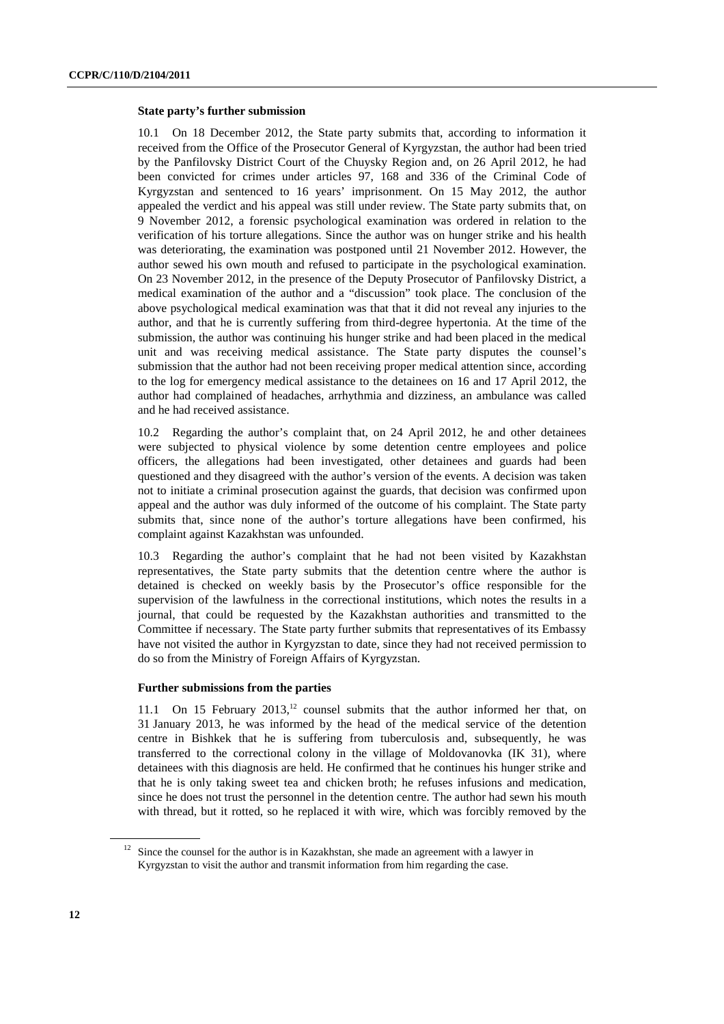#### **State party's further submission**

10.1 On 18 December 2012, the State party submits that, according to information it received from the Office of the Prosecutor General of Kyrgyzstan, the author had been tried by the Panfilovsky District Court of the Chuysky Region and, on 26 April 2012, he had been convicted for crimes under articles 97, 168 and 336 of the Criminal Code of Kyrgyzstan and sentenced to 16 years' imprisonment. On 15 May 2012, the author appealed the verdict and his appeal was still under review. The State party submits that, on 9 November 2012, a forensic psychological examination was ordered in relation to the verification of his torture allegations. Since the author was on hunger strike and his health was deteriorating, the examination was postponed until 21 November 2012. However, the author sewed his own mouth and refused to participate in the psychological examination. On 23 November 2012, in the presence of the Deputy Prosecutor of Panfilovsky District, a medical examination of the author and a "discussion" took place. The conclusion of the above psychological medical examination was that that it did not reveal any injuries to the author, and that he is currently suffering from third-degree hypertonia. At the time of the submission, the author was continuing his hunger strike and had been placed in the medical unit and was receiving medical assistance. The State party disputes the counsel's submission that the author had not been receiving proper medical attention since, according to the log for emergency medical assistance to the detainees on 16 and 17 April 2012, the author had complained of headaches, arrhythmia and dizziness, an ambulance was called and he had received assistance.

10.2 Regarding the author's complaint that, on 24 April 2012, he and other detainees were subjected to physical violence by some detention centre employees and police officers, the allegations had been investigated, other detainees and guards had been questioned and they disagreed with the author's version of the events. A decision was taken not to initiate a criminal prosecution against the guards, that decision was confirmed upon appeal and the author was duly informed of the outcome of his complaint. The State party submits that, since none of the author's torture allegations have been confirmed, his complaint against Kazakhstan was unfounded.

10.3 Regarding the author's complaint that he had not been visited by Kazakhstan representatives, the State party submits that the detention centre where the author is detained is checked on weekly basis by the Prosecutor's office responsible for the supervision of the lawfulness in the correctional institutions, which notes the results in a journal, that could be requested by the Kazakhstan authorities and transmitted to the Committee if necessary. The State party further submits that representatives of its Embassy have not visited the author in Kyrgyzstan to date, since they had not received permission to do so from the Ministry of Foreign Affairs of Kyrgyzstan.

#### **Further submissions from the parties**

11.1 On 15 February  $2013$ ,<sup>12</sup> counsel submits that the author informed her that, on 31 January 2013, he was informed by the head of the medical service of the detention centre in Bishkek that he is suffering from tuberculosis and, subsequently, he was transferred to the correctional colony in the village of Moldovanovka (IK 31), where detainees with this diagnosis are held. He confirmed that he continues his hunger strike and that he is only taking sweet tea and chicken broth; he refuses infusions and medication, since he does not trust the personnel in the detention centre. The author had sewn his mouth with thread, but it rotted, so he replaced it with wire, which was forcibly removed by the

<sup>&</sup>lt;sup>12</sup> Since the counsel for the author is in Kazakhstan, she made an agreement with a lawyer in Kyrgyzstan to visit the author and transmit information from him regarding the case.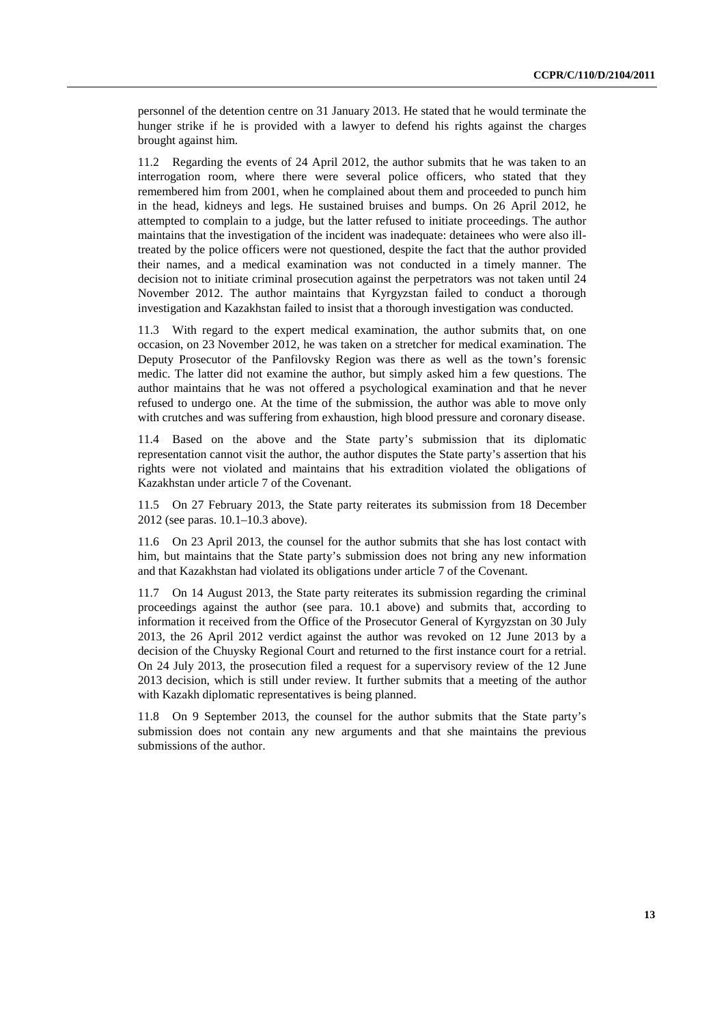personnel of the detention centre on 31 January 2013. He stated that he would terminate the hunger strike if he is provided with a lawyer to defend his rights against the charges brought against him.

11.2 Regarding the events of 24 April 2012, the author submits that he was taken to an interrogation room, where there were several police officers, who stated that they remembered him from 2001, when he complained about them and proceeded to punch him in the head, kidneys and legs. He sustained bruises and bumps. On 26 April 2012, he attempted to complain to a judge, but the latter refused to initiate proceedings. The author maintains that the investigation of the incident was inadequate: detainees who were also illtreated by the police officers were not questioned, despite the fact that the author provided their names, and a medical examination was not conducted in a timely manner. The decision not to initiate criminal prosecution against the perpetrators was not taken until 24 November 2012. The author maintains that Kyrgyzstan failed to conduct a thorough investigation and Kazakhstan failed to insist that a thorough investigation was conducted.

11.3 With regard to the expert medical examination, the author submits that, on one occasion, on 23 November 2012, he was taken on a stretcher for medical examination. The Deputy Prosecutor of the Panfilovsky Region was there as well as the town's forensic medic. The latter did not examine the author, but simply asked him a few questions. The author maintains that he was not offered a psychological examination and that he never refused to undergo one. At the time of the submission, the author was able to move only with crutches and was suffering from exhaustion, high blood pressure and coronary disease.

11.4 Based on the above and the State party's submission that its diplomatic representation cannot visit the author, the author disputes the State party's assertion that his rights were not violated and maintains that his extradition violated the obligations of Kazakhstan under article 7 of the Covenant.

11.5 On 27 February 2013, the State party reiterates its submission from 18 December 2012 (see paras. 10.1–10.3 above).

11.6 On 23 April 2013, the counsel for the author submits that she has lost contact with him, but maintains that the State party's submission does not bring any new information and that Kazakhstan had violated its obligations under article 7 of the Covenant.

11.7 On 14 August 2013, the State party reiterates its submission regarding the criminal proceedings against the author (see para. 10.1 above) and submits that, according to information it received from the Office of the Prosecutor General of Kyrgyzstan on 30 July 2013, the 26 April 2012 verdict against the author was revoked on 12 June 2013 by a decision of the Chuysky Regional Court and returned to the first instance court for a retrial. On 24 July 2013, the prosecution filed a request for a supervisory review of the 12 June 2013 decision, which is still under review. It further submits that a meeting of the author with Kazakh diplomatic representatives is being planned.

11.8 On 9 September 2013, the counsel for the author submits that the State party's submission does not contain any new arguments and that she maintains the previous submissions of the author.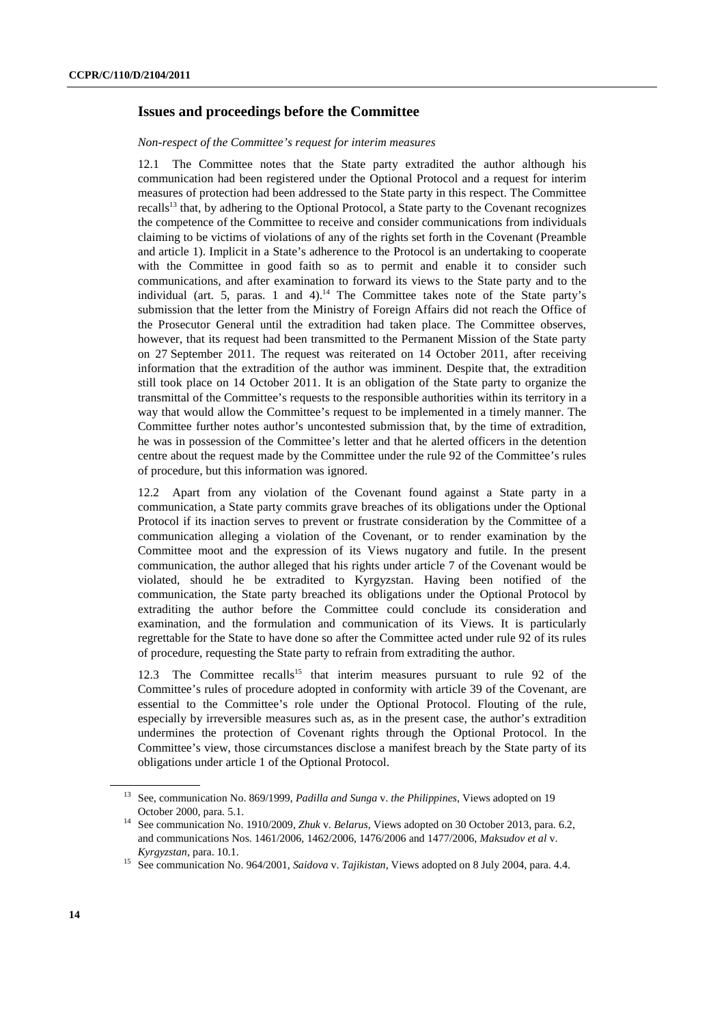### **Issues and proceedings before the Committee**

#### *Non-respect of the Committee's request for interim measures*

12.1 The Committee notes that the State party extradited the author although his communication had been registered under the Optional Protocol and a request for interim measures of protection had been addressed to the State party in this respect. The Committee recalls<sup>13</sup> that, by adhering to the Optional Protocol, a State party to the Covenant recognizes the competence of the Committee to receive and consider communications from individuals claiming to be victims of violations of any of the rights set forth in the Covenant (Preamble and article 1). Implicit in a State's adherence to the Protocol is an undertaking to cooperate with the Committee in good faith so as to permit and enable it to consider such communications, and after examination to forward its views to the State party and to the individual (art. 5, paras. 1 and 4).<sup>14</sup> The Committee takes note of the State party's submission that the letter from the Ministry of Foreign Affairs did not reach the Office of the Prosecutor General until the extradition had taken place. The Committee observes, however, that its request had been transmitted to the Permanent Mission of the State party on 27 September 2011. The request was reiterated on 14 October 2011, after receiving information that the extradition of the author was imminent. Despite that, the extradition still took place on 14 October 2011. It is an obligation of the State party to organize the transmittal of the Committee's requests to the responsible authorities within its territory in a way that would allow the Committee's request to be implemented in a timely manner. The Committee further notes author's uncontested submission that, by the time of extradition, he was in possession of the Committee's letter and that he alerted officers in the detention centre about the request made by the Committee under the rule 92 of the Committee's rules of procedure, but this information was ignored.

12.2 Apart from any violation of the Covenant found against a State party in a communication, a State party commits grave breaches of its obligations under the Optional Protocol if its inaction serves to prevent or frustrate consideration by the Committee of a communication alleging a violation of the Covenant, or to render examination by the Committee moot and the expression of its Views nugatory and futile. In the present communication, the author alleged that his rights under article 7 of the Covenant would be violated, should he be extradited to Kyrgyzstan. Having been notified of the communication, the State party breached its obligations under the Optional Protocol by extraditing the author before the Committee could conclude its consideration and examination, and the formulation and communication of its Views. It is particularly regrettable for the State to have done so after the Committee acted under rule 92 of its rules of procedure, requesting the State party to refrain from extraditing the author.

12.3 The Committee recalls<sup>15</sup> that interim measures pursuant to rule 92 of the Committee's rules of procedure adopted in conformity with article 39 of the Covenant, are essential to the Committee's role under the Optional Protocol. Flouting of the rule, especially by irreversible measures such as, as in the present case, the author's extradition undermines the protection of Covenant rights through the Optional Protocol. In the Committee's view, those circumstances disclose a manifest breach by the State party of its obligations under article 1 of the Optional Protocol.

<sup>13</sup> See, communication No. 869/1999, *Padilla and Sunga* v. *the Philippines*, Views adopted on 19

October 2000, para. 5.1. 14 See communication No. 1910/2009, *Zhuk* v. *Belarus*, Views adopted on 30 October 2013, para. 6.2, and communications Nos. 1461/2006, 1462/2006, 1476/2006 and 1477/2006, *Maksudov et al* v.

*Kyrgyzstan*, para. 10.1. 15 See communication No. 964/2001, *Saidova* v. *Tajikistan*, Views adopted on 8 July 2004, para. 4.4.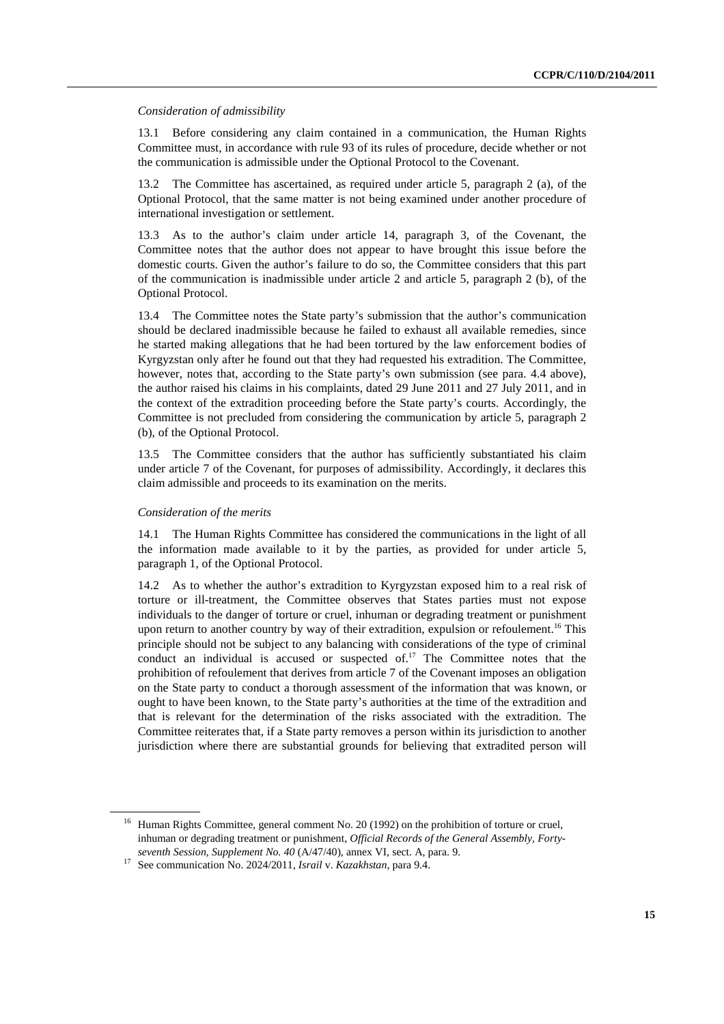#### *Consideration of admissibility*

13.1 Before considering any claim contained in a communication, the Human Rights Committee must, in accordance with rule 93 of its rules of procedure, decide whether or not the communication is admissible under the Optional Protocol to the Covenant.

13.2 The Committee has ascertained, as required under article 5, paragraph 2 (a), of the Optional Protocol, that the same matter is not being examined under another procedure of international investigation or settlement.

13.3 As to the author's claim under article 14, paragraph 3, of the Covenant, the Committee notes that the author does not appear to have brought this issue before the domestic courts. Given the author's failure to do so, the Committee considers that this part of the communication is inadmissible under article 2 and article 5, paragraph 2 (b), of the Optional Protocol.

13.4 The Committee notes the State party's submission that the author's communication should be declared inadmissible because he failed to exhaust all available remedies, since he started making allegations that he had been tortured by the law enforcement bodies of Kyrgyzstan only after he found out that they had requested his extradition. The Committee, however, notes that, according to the State party's own submission (see para. 4.4 above), the author raised his claims in his complaints, dated 29 June 2011 and 27 July 2011, and in the context of the extradition proceeding before the State party's courts. Accordingly, the Committee is not precluded from considering the communication by article 5, paragraph 2 (b), of the Optional Protocol.

13.5 The Committee considers that the author has sufficiently substantiated his claim under article 7 of the Covenant, for purposes of admissibility. Accordingly, it declares this claim admissible and proceeds to its examination on the merits.

#### *Consideration of the merits*

14.1 The Human Rights Committee has considered the communications in the light of all the information made available to it by the parties, as provided for under article 5, paragraph 1, of the Optional Protocol.

14.2 As to whether the author's extradition to Kyrgyzstan exposed him to a real risk of torture or ill-treatment, the Committee observes that States parties must not expose individuals to the danger of torture or cruel, inhuman or degrading treatment or punishment upon return to another country by way of their extradition, expulsion or refoulement.<sup>16</sup> This principle should not be subject to any balancing with considerations of the type of criminal conduct an individual is accused or suspected of. $17$  The Committee notes that the prohibition of refoulement that derives from article 7 of the Covenant imposes an obligation on the State party to conduct a thorough assessment of the information that was known, or ought to have been known, to the State party's authorities at the time of the extradition and that is relevant for the determination of the risks associated with the extradition. The Committee reiterates that, if a State party removes a person within its jurisdiction to another jurisdiction where there are substantial grounds for believing that extradited person will

<sup>&</sup>lt;sup>16</sup> Human Rights Committee, general comment No. 20 (1992) on the prohibition of torture or cruel, inhuman or degrading treatment or punishment, *Official Records of the General Assembly, Fortyseventh Session, Supplement No. 40* (A/47/40), annex VI, sect. A, para. 9. 17 See communication No. 2024/2011, *Israil* v. *Kazakhstan*, para 9.4.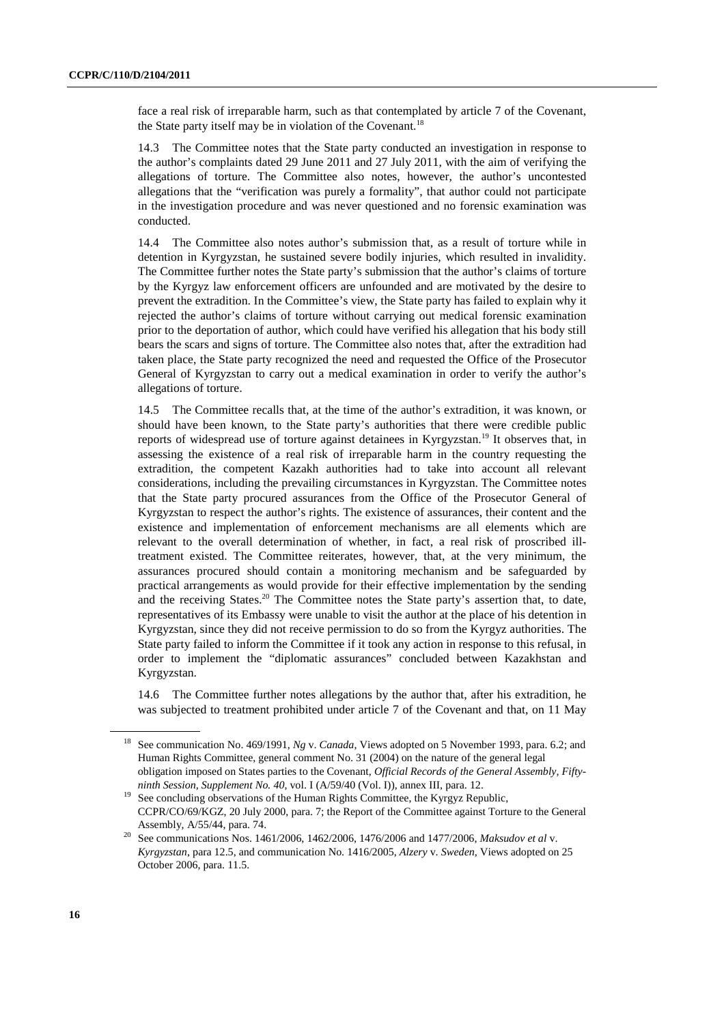face a real risk of irreparable harm, such as that contemplated by article 7 of the Covenant, the State party itself may be in violation of the Covenant.<sup>18</sup>

14.3 The Committee notes that the State party conducted an investigation in response to the author's complaints dated 29 June 2011 and 27 July 2011, with the aim of verifying the allegations of torture. The Committee also notes, however, the author's uncontested allegations that the "verification was purely a formality", that author could not participate in the investigation procedure and was never questioned and no forensic examination was conducted.

14.4 The Committee also notes author's submission that, as a result of torture while in detention in Kyrgyzstan, he sustained severe bodily injuries, which resulted in invalidity. The Committee further notes the State party's submission that the author's claims of torture by the Kyrgyz law enforcement officers are unfounded and are motivated by the desire to prevent the extradition. In the Committee's view, the State party has failed to explain why it rejected the author's claims of torture without carrying out medical forensic examination prior to the deportation of author, which could have verified his allegation that his body still bears the scars and signs of torture. The Committee also notes that, after the extradition had taken place, the State party recognized the need and requested the Office of the Prosecutor General of Kyrgyzstan to carry out a medical examination in order to verify the author's allegations of torture.

14.5 The Committee recalls that, at the time of the author's extradition, it was known, or should have been known, to the State party's authorities that there were credible public reports of widespread use of torture against detainees in Kyrgyzstan.<sup>19</sup> It observes that, in assessing the existence of a real risk of irreparable harm in the country requesting the extradition, the competent Kazakh authorities had to take into account all relevant considerations, including the prevailing circumstances in Kyrgyzstan. The Committee notes that the State party procured assurances from the Office of the Prosecutor General of Kyrgyzstan to respect the author's rights. The existence of assurances, their content and the existence and implementation of enforcement mechanisms are all elements which are relevant to the overall determination of whether, in fact, a real risk of proscribed illtreatment existed. The Committee reiterates, however, that, at the very minimum, the assurances procured should contain a monitoring mechanism and be safeguarded by practical arrangements as would provide for their effective implementation by the sending and the receiving States.<sup>20</sup> The Committee notes the State party's assertion that, to date, representatives of its Embassy were unable to visit the author at the place of his detention in Kyrgyzstan, since they did not receive permission to do so from the Kyrgyz authorities. The State party failed to inform the Committee if it took any action in response to this refusal, in order to implement the "diplomatic assurances" concluded between Kazakhstan and Kyrgyzstan.

14.6 The Committee further notes allegations by the author that, after his extradition, he was subjected to treatment prohibited under article 7 of the Covenant and that, on 11 May

<sup>18</sup> See communication No. 469/1991, *Ng* v. *Canada*, Views adopted on 5 November 1993, para. 6.2; and Human Rights Committee, general comment No. 31 (2004) on the nature of the general legal obligation imposed on States parties to the Covenant, *Official Records of the General Assembly, Fiftyninth Session, Supplement No. 40, vol.* I (A/59/40 (Vol. I)), annex III, para. 12.<br><sup>19</sup> See concluding observations of the Human Rights Committee, the Kyrgyz Republic,

CCPR/CO/69/KGZ, 20 July 2000, para. 7; the Report of the Committee against Torture to the General

Assembly, A/55/44, para. 74. 20 See communications Nos. 1461/2006, 1462/2006, 1476/2006 and 1477/2006, *Maksudov et al* v. *Kyrgyzstan*, para 12.5, and communication No. 1416/2005, *Alzery* v. *Sweden*, Views adopted on 25 October 2006, para. 11.5.